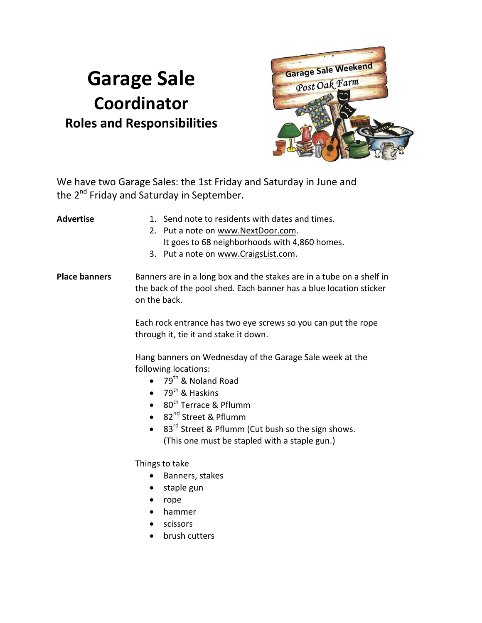## **Garage Sale Coordinator Roles and Responsibilities**



We have two Garage Sales: the 1st Friday and Saturday in June and the 2<sup>nd</sup> Friday and Saturday in September.

| Advertise            | 1. Send note to residents with dates and times.                                                                                                            |
|----------------------|------------------------------------------------------------------------------------------------------------------------------------------------------------|
|                      | 2. Put a note on www.NextDoor.com.                                                                                                                         |
|                      | It goes to 68 neighborhoods with 4,860 homes.                                                                                                              |
|                      | 3. Put a note on www.CraigsList.com.                                                                                                                       |
| <b>Place banners</b> | Banners are in a long box and the stakes are in a tube on a shelf in<br>the back of the pool shed. Each banner has a blue location sticker<br>on the back. |

Each rock entrance has two eye screws so you can put the rope through it, tie it and stake it down.

Hang banners on Wednesday of the Garage Sale week at the following locations:

- $\bullet$  79<sup>th</sup> & Noland Road
- $\bullet$  79<sup>th</sup> & Haskins
- $\bullet$  80<sup>th</sup> Terrace & Pflumm
- 82<sup>nd</sup> Street & Pflumm
- 83<sup>rd</sup> Street & Pflumm (Cut bush so the sign shows. (This one must be stapled with a staple gun.)

Things to take

- Banners, stakes
- staple gun
- rope
- hammer
- **•** scissors
- brush cutters